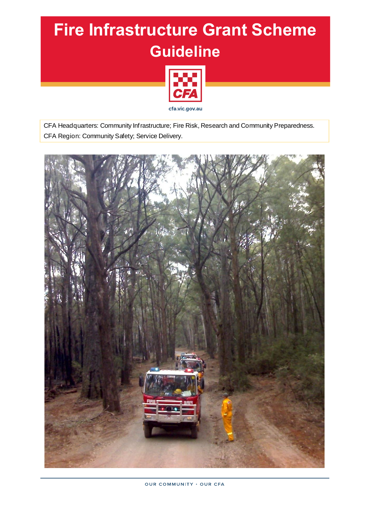# **Fire Infrastructure Grant Scheme Guideline**



CFA Headquarters: Community Infrastructure; Fire Risk, Research and Community Preparedness. CFA Region: Community Safety; Service Delivery.

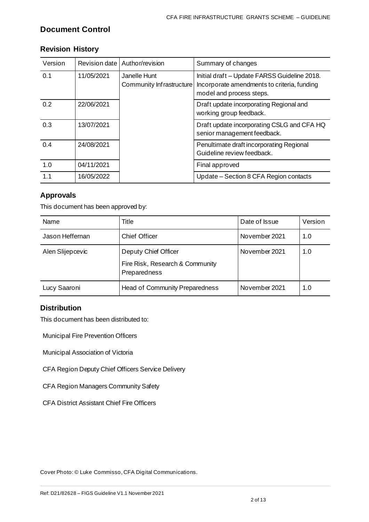## **Document Control**

| Version | Revision date | Author/revision                          | Summary of changes                                                                                                      |
|---------|---------------|------------------------------------------|-------------------------------------------------------------------------------------------------------------------------|
| 0.1     | 11/05/2021    | Janelle Hunt<br>Community Infrastructure | Initial draft - Update FARSS Guideline 2018.<br>Incorporate amendments to criteria, funding<br>model and process steps. |
| 0.2     | 22/06/2021    |                                          | Draft update incorporating Regional and<br>working group feedback.                                                      |
| 0.3     | 13/07/2021    |                                          | Draft update incorporating CSLG and CFA HQ<br>senior management feedback.                                               |
| 0.4     | 24/08/2021    |                                          | Penultimate draft incorporating Regional<br>Guideline review feedback.                                                  |
| 1.0     | 04/11/2021    |                                          | Final approved                                                                                                          |
| 1.1     | 16/05/2022    |                                          | Update – Section 8 CFA Region contacts                                                                                  |

## **Revision History**

## **Approvals**

This document has been approved by:

| Name             | Title                                                                   | Date of Issue | Version |
|------------------|-------------------------------------------------------------------------|---------------|---------|
| Jason Heffernan  | <b>Chief Officer</b>                                                    | November 2021 | 1.0     |
| Alen Slijepcevic | Deputy Chief Officer<br>Fire Risk, Research & Community<br>Preparedness | November 2021 | 1.0     |
| Lucy Saaroni     | <b>Head of Community Preparedness</b>                                   | November 2021 | 1.0     |

## **Distribution**

This document has been distributed to:

Municipal Fire Prevention Officers

Municipal Association of Victoria

CFA Region Deputy Chief Officers Service Delivery

CFA Region Managers Community Safety

CFA District Assistant Chief Fire Officers

Cover Photo: © Luke Commisso, CFA Digital Communications.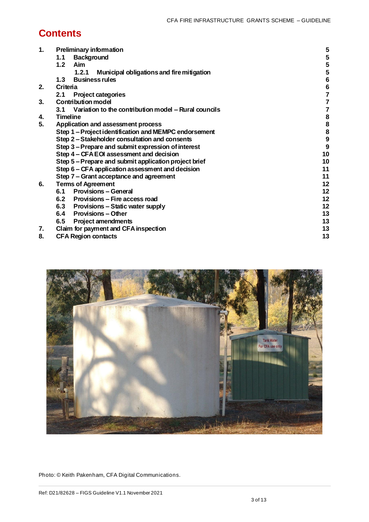# **Contents**

| 1. | <b>Preliminary information</b>                              | 5                       |
|----|-------------------------------------------------------------|-------------------------|
|    | <b>Background</b><br>1.1                                    | 5                       |
|    | Aim<br>$1.2$                                                | 5                       |
|    | 1.2.1<br>Municipal obligations and fire mitigation          | 5                       |
|    | <b>Business rules</b><br>1.3                                | $\bf 6$                 |
| 2. | Criteria                                                    | $\bf 6$                 |
|    | <b>Project categories</b><br>2.1                            | $\overline{\mathbf{z}}$ |
| 3. | <b>Contribution model</b>                                   | $\overline{7}$          |
|    | Variation to the contribution model – Rural councils<br>3.1 | 7                       |
| 4. | <b>Timeline</b>                                             | 8                       |
| 5. | Application and assessment process                          | 8                       |
|    | Step 1-Project identification and MEMPC endorsement         | 8                       |
|    | Step 2-Stakeholder consultation and consents                | $\boldsymbol{9}$        |
|    | Step 3 - Prepare and submit expression of interest          | 9                       |
|    | Step 4 - CFA EOI assessment and decision                    | 10                      |
|    | Step 5-Prepare and submit application project brief         | 10                      |
|    | Step 6 - CFA application assessment and decision            | 11                      |
|    | Step 7 - Grant acceptance and agreement                     | 11                      |
| 6. | <b>Terms of Agreement</b>                                   | 12                      |
|    | 6.1 Provisions - General                                    | 12                      |
|    | 6.2 Provisions – Fire access road                           | 12                      |
|    | 6.3 Provisions – Static water supply                        | 12                      |
|    | 6.4<br><b>Provisions – Other</b>                            | 13                      |
|    | 6.5<br><b>Project amendments</b>                            | 13                      |
| 7. | Claim for payment and CFA inspection                        | 13                      |
| 8. | <b>CFA Region contacts</b>                                  | 13                      |





Photo: © Keith Pakenham, CFA Digital Communications.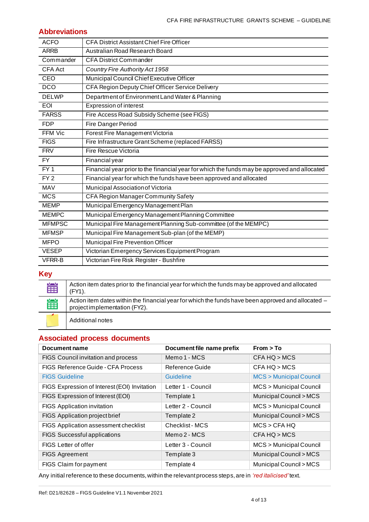## **Abbreviations**

| <b>ACFO</b>    | <b>CFA District Assistant Chief Fire Officer</b>                                             |
|----------------|----------------------------------------------------------------------------------------------|
| <b>ARRB</b>    | Australian Road Research Board                                                               |
| Commander      | <b>CFA District Commander</b>                                                                |
| <b>CFA Act</b> | Country Fire Authority Act 1958                                                              |
| CEO            | Municipal Council Chief Executive Officer                                                    |
| DCO            | CFA Region Deputy Chief Officer Service Delivery                                             |
| <b>DELWP</b>   | Department of Environment Land Water & Planning                                              |
| <b>EOI</b>     | <b>Expression of interest</b>                                                                |
| <b>FARSS</b>   | Fire Access Road Subsidy Scheme (see FIGS)                                                   |
| <b>FDP</b>     | Fire Danger Period                                                                           |
| <b>FFM Vic</b> | Forest Fire Management Victoria                                                              |
| <b>FIGS</b>    | Fire Infrastructure Grant Scheme (replaced FARSS)                                            |
| <b>FRV</b>     | Fire Rescue Victoria                                                                         |
| FY.            | Financial year                                                                               |
| FY1            | Financial year prior to the financial year for which the funds may be approved and allocated |
| FY2            | Financial year for which the funds have been approved and allocated                          |
| <b>MAV</b>     | Municipal Association of Victoria                                                            |
| <b>MCS</b>     | CFA Region Manager Community Safety                                                          |
| <b>MEMP</b>    | Municipal Emergency Management Plan                                                          |
| <b>MEMPC</b>   | Municipal Emergency Management Planning Committee                                            |
| <b>MFMPSC</b>  | Municipal Fire Management Planning Sub-committee (of the MEMPC)                              |
| <b>MFMSP</b>   | Municipal Fire Management Sub-plan (of the MEMP)                                             |
| <b>MFPO</b>    | Municipal Fire Prevention Officer                                                            |
| <b>VESEP</b>   | Victorian Emergency Services Equipment Program                                               |
| <b>VFRR-B</b>  | Victorian Fire Risk Register - Bushfire                                                      |

#### **Key**

| 當 | Action item dates prior to the financial year for which the funds may be approved and allocated<br>$(FY1)$ .                        |
|---|-------------------------------------------------------------------------------------------------------------------------------------|
| 雦 | Action item dates within the financial year for which the funds have been approved and allocated –<br>project implementation (FY2). |
|   | Additional notes                                                                                                                    |

## **Associated process documents**

| <b>Document name</b>                         | Document file name prefix | From > To                         |
|----------------------------------------------|---------------------------|-----------------------------------|
| FIGS Council invitation and process          | Memo 1 - MCS              | CFA HQ > MCS                      |
| FIGS Reference Guide - CFA Process           | Reference Guide           | CFA HO > MCS                      |
| <b>FIGS Guideline</b>                        | Guideline                 | <b>MCS &gt; Municipal Council</b> |
| FIGS Expression of Interest (EOI) Invitation | Letter 1 - Council        | <b>MCS &gt; Municipal Council</b> |
| FIGS Expression of Interest (EOI)            | Template 1                | Municipal Council > MCS           |
| <b>FIGS</b> Application invitation           | Letter 2 - Council        | MCS > Municipal Council           |
| FIGS Application project brief               | Template 2                | Municipal Council > MCS           |
| FIGS Application assessment checklist        | Checklist - MCS           | MCS > CFA HO                      |
| FIGS Successful applications                 | Memo 2 - MCS              | CFA HQ > MCS                      |
| FIGS Letter of offer                         | Letter 3 - Council        | MCS > Municipal Council           |
| <b>FIGS Agreement</b>                        | Template 3                | Municipal Council > MCS           |
| FIGS Claim for payment                       | Template 4                | Municipal Council > MCS           |

Any initial reference to these documents, within the relevant process steps, are in *'red italicised'*text.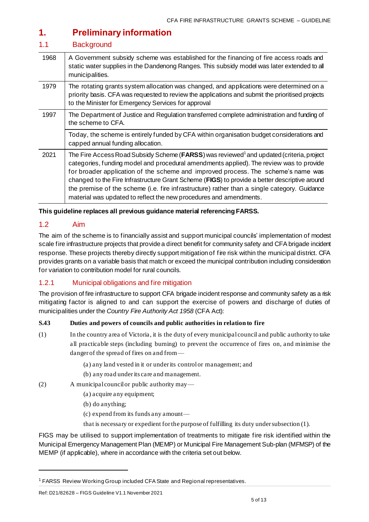# <span id="page-4-0"></span>**1. Preliminary information**

#### <span id="page-4-1"></span>1.1 Background

| 1968 | A Government subsidy scheme was established for the financing of fire access roads and<br>static water supplies in the Dandenong Ranges. This subsidy model was later extended to all<br>municipalities.                                                                                                                                                                                                                                                                                                                                                             |
|------|----------------------------------------------------------------------------------------------------------------------------------------------------------------------------------------------------------------------------------------------------------------------------------------------------------------------------------------------------------------------------------------------------------------------------------------------------------------------------------------------------------------------------------------------------------------------|
| 1979 | The rotating grants system allocation was changed, and applications were determined on a<br>priority basis. CFA was requested to review the applications and submit the prioritised projects<br>to the Minister for Emergency Services for approval                                                                                                                                                                                                                                                                                                                  |
| 1997 | The Department of Justice and Regulation transferred complete administration and funding of<br>the scheme to CFA.                                                                                                                                                                                                                                                                                                                                                                                                                                                    |
|      | Today, the scheme is entirely funded by CFA within organisation budget considerations and<br>capped annual funding allocation.                                                                                                                                                                                                                                                                                                                                                                                                                                       |
| 2021 | The Fire Access Road Subsidy Scheme ( <b>FARSS</b> ) was reviewed <sup>1</sup> and updated (criteria, project<br>categories, funding model and procedural amendments applied). The review was to provide<br>for broader application of the scheme and improved process. The scheme's name was<br>changed to the Fire Infrastructure Grant Scheme (FIGS) to provide a better descriptive around<br>the premise of the scheme (i.e. fire infrastructure) rather than a single category. Guidance<br>material was updated to reflect the new procedures and amendments. |

**This guideline replaces all previous guidance material referencing FARSS.** 

## <span id="page-4-2"></span>1.2 Aim

The aim of the scheme is to financially assist and support municipal councils' implementation of modest scale fire infrastructure projects that provide a direct benefit for community safety and CFA brigade incident response. These projects thereby directly support mitigation of fire risk within the municipal district. CFA provides grants on a variable basis that match or exceed the municipal contribution including consideration for variation to contribution model for rural councils.

#### <span id="page-4-3"></span>1.2.1 Municipal obligations and fire mitigation

The provision of fire infrastructure to support CFA brigade incident response and community safety as a risk mitigating factor is aligned to and can support the exercise of powers and discharge of duties of municipalities under the *Country Fire Authority Act 1958* (CFA Act):

#### **S.43 Duties and powers of councils and public authorities in relation to fire**

- (1) In the country area of Victoria, it is the duty of every municipal council and public authority to take all practicable steps (including burning) to prevent the occurrence of fires on, and minimise the danger of the spread of fires on and from—
	- (a) any land vested in it or under its control or management; and
	- (b) any road under its care and management.
- (2) A municipal council or public authority may—
	- (a) acquire any equipment;
	- (b) do anything;
	- (c) expend from its funds any amount—
	- that is necessary or expedient for the purpose of fulfilling its duty under subsection (1).

FIGS may be utilised to support implementation of treatments to mitigate fire risk identified within the Municipal Emergency Management Plan (MEMP) or Municipal Fire Management Sub-plan (MFMSP) of the MEMP (if applicable), where in accordance with the criteria set out below.

<sup>1</sup> FARSS Review Working Group included CFA State and Regional representatives.

Ref: D21/82628 – FIGS Guideline V1.1 November 2021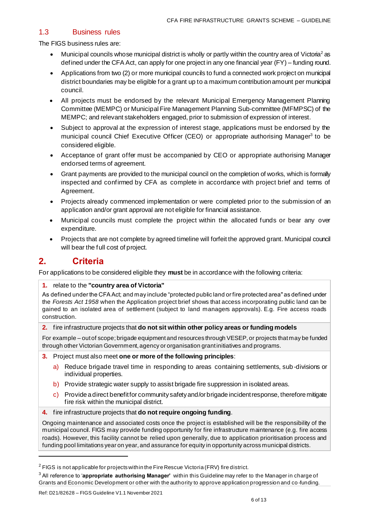#### <span id="page-5-0"></span>1.3 Business rules

The FIGS business rules are:

- Municipal councils whose municipal district is wholly or partly within the country area of Victoria<sup>2</sup> as defined under the CFA Act, can apply for one project in any one financial year (FY) – funding round.
- Applications from two (2) or more municipal councils to fund a connected work project on municipal district boundaries may be eligible for a grant up to a maximum contribution amount per municipal council.
- All projects must be endorsed by the relevant Municipal Emergency Management Planning Committee (MEMPC) or Municipal Fire Management Planning Sub-committee (MFMPSC) of the MEMPC; and relevant stakeholders engaged, prior to submission of expression of interest.
- Subject to approval at the expression of interest stage, applications must be endorsed by the municipal council Chief Executive Officer (CEO) or appropriate authorising Manager<sup>3</sup> to be considered eligible.
- Acceptance of grant offer must be accompanied by CEO or appropriate authorising Manager endorsed terms of agreement.
- Grant payments are provided to the municipal council on the completion of works, which is formally inspected and confirmed by CFA as complete in accordance with project brief and terms of Agreement.
- Projects already commenced implementation or were completed prior to the submission of an application and/or grant approval are not eligible for financial assistance.
- Municipal councils must complete the project within the allocated funds or bear any over expenditure.
- Projects that are not complete by agreed timeline will forfeit the approved grant. Municipal council will bear the full cost of project.

# <span id="page-5-1"></span>**2. Criteria**

For applications to be considered eligible they **must** be in accordance with the following criteria:

**1.** relate to the **"country area of Victoria"**

As defined under the CFA Act; and may include "protected public land or fire protected area" as defined under the *Forests Act 1958* when the Application project brief shows that access incorporating public land can be gained to an isolated area of settlement (subject to land managers approvals). E.g. Fire access roads construction.

**2.** fire infrastructure projects that **do not sit within other policy areas or funding models**

For example – out of scope; brigade equipment and resources through VESEP, or projects that may be funded through other Victorian Government, agency or organisation grant initiatives and programs.

- **3.** Project must also meet **one or more of the following principles**:
	- a) Reduce brigade travel time in responding to areas containing settlements, sub -divisions or individual properties.
	- b) Provide strategic water supply to assist brigade fire suppression in isolated areas.
	- c) Provide a direct benefit for community safety and/or brigade incident response, therefore mitigate fire risk within the municipal district.
- **4.** fire infrastructure projects that **do not require ongoing funding**.

Ongoing maintenance and associated costs once the project is established will be the responsibility of the municipal council. FIGS may provide funding opportunity for fire infrastructure maintenance (e.g. fire access roads). However, this facility cannot be relied upon generally, due to application prioritisation process and funding pool limitations year on year, and assurance for equity in opportunity across municipal districts.

 $2$  FIGS is not applicable for projects within the Fire Rescue Victoria (FRV) fire district.

<sup>3</sup> All reference to '**appropriate authorising Manager'** within this Guideline may refer to the Manager in charge of Grants and Economic Development or other with the authority to approve application progression and co -funding.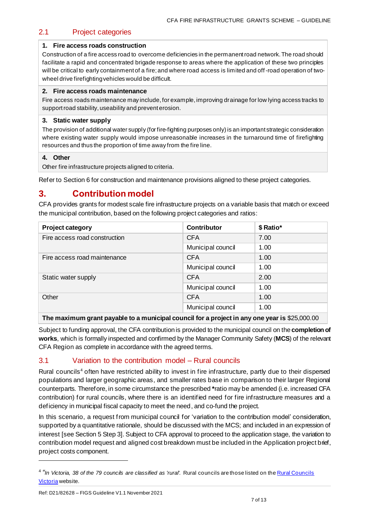## <span id="page-6-0"></span>2.1 Project categories

#### **1. Fire access roads construction**

Construction of a fire access road to overcome deficiencies in the permanent road network. The road should facilitate a rapid and concentrated brigade response to areas where the application of these two principles will be critical to early containment of a fire; and where road access is limited and off-road operation of twowheel drive firefighting vehicles would be difficult.

#### **2. Fire access roads maintenance**

Fire access roads maintenance may include, for example, improving drainage for low lying access tracks to support road stability, useability and prevent erosion.

#### **3. Static water supply**

The provision of additional water supply (for fire-fighting purposes only) is an important strategic consideration where existing water supply would impose unreasonable increases in the turnaround time of firefighting resources and thus the proportion of time away from the fire line.

#### **4. Other**

Other fire infrastructure projects aligned to criteria.

Refer to Section 6 for construction and maintenance provisions aligned to these project categories.

## <span id="page-6-1"></span>**3. Contribution model**

CFA provides grants for modest scale fire infrastructure projects on a variable basis that match or exceed the municipal contribution, based on the following project categories and ratios:

| <b>Project category</b>       | <b>Contributor</b> | \$ Ratio* |
|-------------------------------|--------------------|-----------|
| Fire access road construction | <b>CFA</b>         | 7.00      |
|                               | Municipal council  | 1.00      |
| Fire access road maintenance  | <b>CFA</b>         | 1.00      |
|                               | Municipal council  | 1.00      |
| Static water supply           | <b>CFA</b>         | 2.00      |
|                               | Municipal council  | 1.00      |
| Other                         | <b>CFA</b><br>1.00 |           |
|                               | Municipal council  | 1.00      |
|                               |                    |           |

**The maximum grant payable to a municipal council for a project in any one year is** \$25,000.00

Subject to funding approval, the CFA contribution is provided to the municipal council on the **completion of works**, which is formally inspected and confirmed by the Manager Community Safety (**MCS**) of the relevant CFA Region as complete in accordance with the agreed terms.

## <span id="page-6-2"></span>3.1 Variation to the contribution model – Rural councils

Rural councils<sup>4</sup> often have restricted ability to invest in fire infrastructure, partly due to their dispersed populations and larger geographic areas, and smaller rates base in comparison to their larger Regional counterparts. Therefore, in some circumstance the prescribed **\***ratio may be amended (i.e. increased CFA contribution) for rural councils, where there is an identified need for fire infrastructure measures and a deficiency in municipal fiscal capacity to meet the need, and co-fund the project.

In this scenario, a request from municipal council for 'variation to the contribution model' consideration, supported by a quantitative rationale, should be discussed with the MCS; and included in an expression of interest [see Section 5 Step 3]. Subject to CFA approval to proceed to the application stage, the variation to contribution model request and aligned cost breakdown must be included in the Application project brief, project costs component.

<sup>&</sup>lt;sup>4</sup> "In Victoria, 38 of the 79 councils are classified as 'rural'. Rural councils are those listed on the *Rural Councils* [Victoria](https://ruralcouncilsvictoria.org.au/about/) website.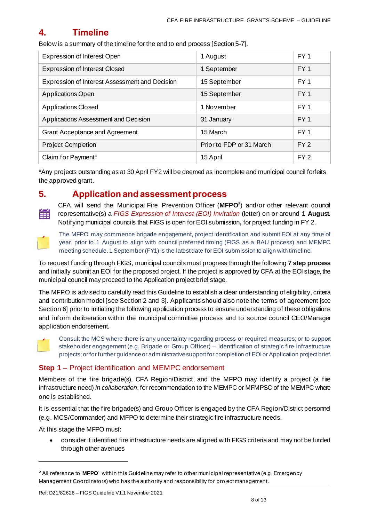# <span id="page-7-0"></span>**4. Timeline**

Below is a summary of the timeline for the end to end process [Section 5-7].

| <b>Expression of Interest Open</b>             | 1 August                 | FY <sub>1</sub> |
|------------------------------------------------|--------------------------|-----------------|
| <b>Expression of Interest Closed</b>           | 1 September              | FY <sub>1</sub> |
| Expression of Interest Assessment and Decision | 15 September             | FY <sub>1</sub> |
| Applications Open                              | 15 September             | FY <sub>1</sub> |
| <b>Applications Closed</b>                     | 1 November               | FY <sub>1</sub> |
| Applications Assessment and Decision           | 31 January               | FY <sub>1</sub> |
| <b>Grant Acceptance and Agreement</b>          | 15 March                 | FY <sub>1</sub> |
| <b>Project Completion</b>                      | Prior to FDP or 31 March | FY2             |
| Claim for Payment*                             | 15 April                 | FY <sub>2</sub> |

\*Any projects outstanding as at 30 April FY2 will be deemed as incomplete and municipal council forfeits the approved grant.

## <span id="page-7-1"></span>**5. Application and assessment process**

CFA will send the Municipal Fire Prevention Officer (**MFPO**<sup>5</sup> ) and/or other relevant council representative(s) a *FIGS Expression of Interest (EOI) Invitation* (letter) on or around **1 August.**  Notifying municipal councils that FIGS is open for EOI submission**,** for project funding in FY 2.



The MFPO may commence brigade engagement, project identification and submit EOI at any time of year, prior to 1 August to align with council preferred timing (FIGS as a BAU process) and MEMPC meeting schedule. 1 September (FY1) is the latest date for EOI submission to align with timeline.

To request funding through FIGS, municipal councils must progress through the following **7 step process** and initially submit an EOI for the proposed project. If the project is approved by CFA at the EOI stage, the municipal council may proceed to the Application project brief stage.

The MFPO is advised to carefully read this Guideline to establish a clear understanding of eligibility, criteria and contribution model [see Section 2 and 3]. Applicants should also note the terms of agreement [see Section 6] prior to initiating the following application process to ensure understanding of these obligations and inform deliberation within the municipal committee process and to source council CEO/Manager application endorsement.



Consult the MCS where there is any uncertainty regarding process or required measures; or to support stakeholder engagement (e.g. Brigade or Group Officer) – identification of strategic fire infrastructure projects; or for further guidance or administrative support for completion of EOI or Application project brief.

## <span id="page-7-2"></span>**Step 1** – Project identification and MEMPC endorsement

Members of the fire brigade(s), CFA Region/District, and the MFPO may identify a project (a fire infrastructure need) *in collaboration*, for recommendation to the MEMPC or MFMPSC of the MEMPC where one is established.

It is essential that the fire brigade(s) and Group Officer is engaged by the CFA Region/District personnel (e.g. MCS/Commander) and MFPO to determine their strategic fire infrastructure needs.

At this stage the MFPO must:

• consider if identified fire infrastructure needs are aligned with FIGS criteria and may not be funded through other avenues

<sup>5</sup> All reference to '**MFPO**' within this Guideline may refer to other municipal representative (e.g. Emergency Management Coordinators) who has the authority and responsibility for project management.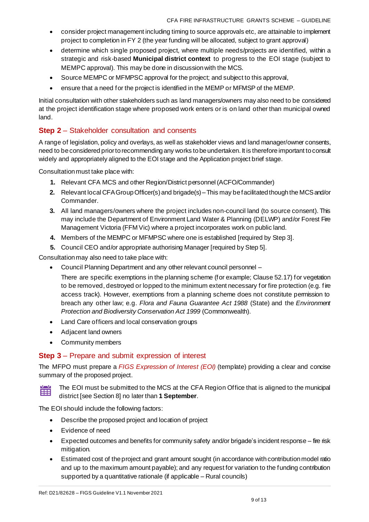- consider project management including timing to source approvals etc, are attainable to implement project to completion in FY 2 (the year funding will be allocated, subject to grant approval)
- determine which single proposed project, where multiple needs/projects are identified, within a strategic and risk-based **Municipal district context** to progress to the EOI stage (subject to MEMPC approval). This may be done in discussion with the MCS.
- Source MEMPC or MFMPSC approval for the project; and subject to this approval,
- ensure that a need for the project is identified in the MEMP or MFMSP of the MEMP.

Initial consultation with other stakeholders such as land managers/owners may also need to be considered at the project identification stage where proposed work enters or is on land other than municipal owned land.

## <span id="page-8-0"></span>**Step 2** – Stakeholder consultation and consents

A range of legislation, policy and overlays, as well as stakeholder views and land manager/owner consents, need to be considered prior to recommending any works to be undertaken. It is therefore important to consult widely and appropriately aligned to the EOI stage and the Application project brief stage.

Consultation must take place with:

- **1.** Relevant CFA MCS and other Region/District personnel (ACFO/Commander)
- **2.** Relevant local CFA Group Officer(s) and brigade(s)–This may be facilitated though the MCSand/or Commander.
- **3.** All land managers/owners where the project includes non-council land (to source consent). This may include the Department of Environment Land Water & Planning (DELWP) and/or Forest Fire Management Victoria (FFM Vic) where a project incorporates work on public land.
- **4.** Members of the MEMPC or MFMPSC where one is established [required by Step 3].
- **5.** Council CEO and/or appropriate authorising Manager [required by Step 5].

Consultation may also need to take place with:

- Council Planning Department and any other relevant council personnel
	- There are specific exemptions in the planning scheme (for example; Clause 52.17) for vegetation to be removed, destroyed or lopped to the minimum extent necessary for fire protection (e.g. fire access track). However, exemptions from a planning scheme does not constitute permission to breach any other law; e.g. *Flora and Fauna Guarantee Act 1988* (State) and the *Environment Protection and Biodiversity Conservation Act 1999* (Commonwealth).
- Land Care officers and local conservation groups
- Adjacent land owners
- Community members

## <span id="page-8-1"></span>**Step 3** – Prepare and submit expression of interest

The MFPO must prepare a *FIGS Expression of Interest (EOI)* (template) providing a clear and concise summary of the proposed project.



The EOI must be submitted to the MCS at the CFA Region Office that is aligned to the municipal district [see Section 8] no later than **1 September**.

The EOI should include the following factors:

- Describe the proposed project and location of project
- Evidence of need
- Expected outcomes and benefits for community safety and/or brigade's incident response fire risk mitigation.
- Estimated cost of the project and grant amount sought (in accordance with contribution model ratio and up to the maximum amount payable); and any request for variation to the funding contribution supported by a quantitative rationale (if applicable – Rural councils)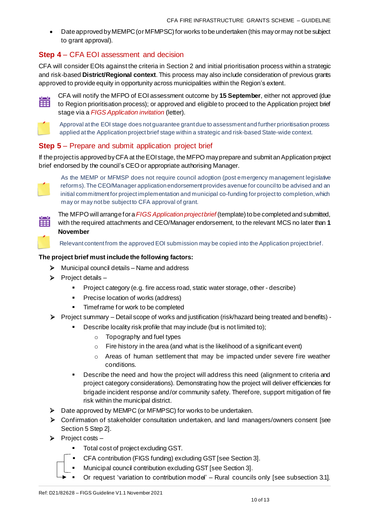• Date approved by MEMPC (or MFMPSC) for works to be undertaken (this may or may not be subject to grant approval).

## <span id="page-9-0"></span>**Step 4** – CFA EOI assessment and decision

CFA will consider EOIs against the criteria in Section 2 and initial prioritisation process within a strategic and risk-based **District/Regional context**. This process may also include consideration of previous grants approved to provide equity in opportunity across municipalities within the Region's extent.



CFA will notify the MFPO of EOI assessment outcome by **15 September**, either not approved (due to Region prioritisation process); or approved and eligible to proceed to the Application project brief stage via a *FIGS Application invitation* (letter).



Approval at the EOI stage does not guarantee grant due to assessment and further prioritisation process applied at the Application project brief stage within a strategic and risk-based State-wide context.

## <span id="page-9-1"></span>**Step 5** – Prepare and submit application project brief

If the project is approved by CFA at the EOI stage, the MFPO may prepare and submit an Application project brief endorsed by the council's CEOor appropriate authorising Manager.



⊞

As the MEMP or MFMSP does not require council adoption (post emergency management legislative reforms). The CEO/Manager application endorsement provides avenue for council to be advised and an initial commitment for project implementation and municipal co-funding for project to completion, which may or may not be subject to CFA approval of grant.

The MFPO will arrange for a*FIGS Application project brief* (template) to be completed and submitted, with the required attachments and CEO/Manager endorsement, to the relevant MCS no later than **1 November**

Relevant content from the approved EOI submission may be copied into the Application project brief.

#### **The project brief must include the following factors:**

- $\triangleright$  Municipal council details Name and address
- $\triangleright$  Project details
	- Project category (e.g. fire access road, static water storage, other describe)
	- Precise location of works (address)
	- Timeframe for work to be completed
- ➢ Project summary Detail scope of works and justification (risk/hazard being treated and benefits)
	- Describe locality risk profile that may include (but is not limited to);
		- o Topography and fuel types
		- $\circ$  Fire history in the area (and what is the likelihood of a significant event)
		- $\circ$  Areas of human settlement that may be impacted under severe fire weather conditions.
	- **•** Describe the need and how the project will address this need (alignment to criteria and project category considerations). Demonstrating how the project will deliver efficiencies for brigade incident response and/or community safety. Therefore, support mitigation of fire risk within the municipal district.
- ➢ Date approved by MEMPC (or MFMPSC) for works to be undertaken.
- ➢ Confirmation of stakeholder consultation undertaken, and land managers/owners consent [see Section 5 Step 2].
- $\triangleright$  Project costs
	- Total cost of project excluding GST.
	- CFA contribution (FIGS funding) excluding GST [see Section 3].
	- Municipal council contribution excluding GST [see Section 3].
	- Or request 'variation to contribution model' Rural councils only [see subsection 3.1].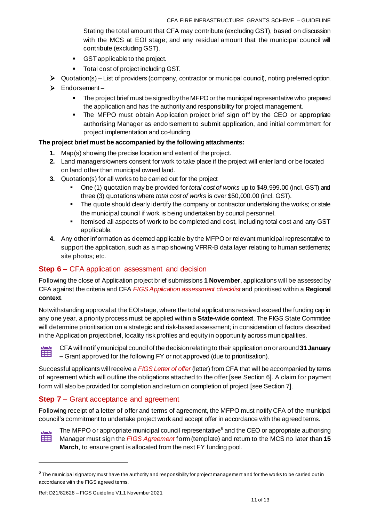Stating the total amount that CFA may contribute (excluding GST), based on discussion with the MCS at EOI stage; and any residual amount that the municipal council will contribute (excluding GST).

- GST applicable to the project.
- Total cost of project including GST.
- $\triangleright$  Quotation(s) List of providers (company, contractor or municipal council), noting preferred option.
- ➢ Endorsement
	- **EXECT** The project brief must be signed by the MFPO or the municipal representative who prepared the application and has the authority and responsibility for project management.
	- **•** The MFPO must obtain Application project brief sign off by the CEO or appropriate authorising Manager as endorsement to submit application, and initial commitment for project implementation and co-funding.

#### **The project brief must be accompanied by the following attachments:**

- **1.** Map(s) showing the precise location and extent of the project.
- **2.** Land managers/owners consent for work to take place if the project will enter land or be located on land other than municipal owned land.
- **3.** Quotation(s) for all works to be carried out for the project
	- One (1) quotation may be provided for *total cost of works* up to \$49,999.00 (incl. GST) and three (3) quotations where *total cost of works* is over \$50,000.00 (incl. GST).
	- **•** The quote should clearly identify the company or contractor undertaking the works; or state the municipal council if work is being undertaken by council personnel.
	- Itemised all aspects of work to be completed and cost, including total cost and any GST applicable.
- **4.** Any other information as deemed applicable by the MFPO or relevant municipal representative to support the application, such as a map showing VFRR-B data layer relating to human settlements; site photos; etc.

## <span id="page-10-0"></span>**Step 6** – CFA application assessment and decision

Following the close of Application project brief submissions **1 November**, applications will be assessed by CFA against the criteria and CFA *FIGS Application assessment checklist* and prioritised within a **Regional context**.

Notwithstanding approval at the EOI stage, where the total applications received exceed the funding cap in any one year, a priority process must be applied within a **State-wide context**. The FIGS State Committee will determine prioritisation on a strategic and risk-based assessment; in consideration of factors described in the Application project brief, locality risk profiles and equity in opportunity across municipalities.



CFA will notify municipal council of the decision relating to their application on or around **31 January –** Grant approved for the following FY or not approved (due to prioritisation).

Successful applicants will receive a *FIGS Letter of offer* (letter) from CFA that will be accompanied by terms of agreement which will outline the obligations attached to the offer [see Section 6]. A claim for payment form will also be provided for completion and return on completion of project [see Section 7].

## <span id="page-10-1"></span>**Step 7** – Grant acceptance and agreement

Following receipt of a letter of offer and terms of agreement, the MFPO must notify CFA of the municipal council's commitment to undertake project work and accept offer in accordance with the agreed terms.



The MFPO or appropriate municipal council representative<sup>6</sup> and the CEO or appropriate authorising Manager must sign the *FIGS Agreement* form (template) and return to the MCS no later than **15 March**, to ensure grant is allocated from the next FY funding pool.

 $^6$  The municipal signatory must have the authority and responsibility for project management and for the works to be carried out in accordance with the FIGS agreed terms.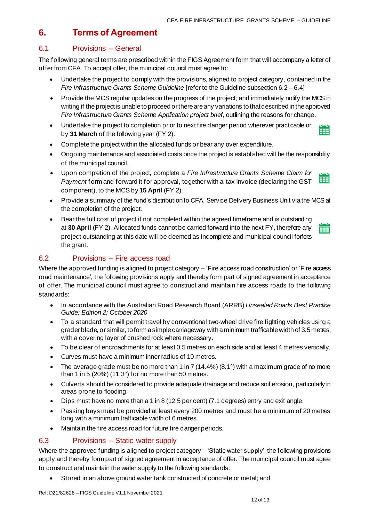# <span id="page-11-0"></span>**6. Terms of Agreement**

## <span id="page-11-1"></span>6.1 Provisions – General

The following general terms are prescribed within the FIGS Agreement form that will accompany a letter of offer from CFA. To accept offer, the municipal council must agree to:

- Undertake the project to comply with the provisions, aligned to project category, contained in the *Fire Infrastructure Grants Scheme Guideline* [refer to the Guideline subsection 6.2 – 6.4]
- Provide the MCS regular updates on the progress of the project; and immediately notify the MCS in writing if the project is unable to proceed or there are any variations to that described in the approved *Fire Infrastructure Grants Scheme Application project brief*, outlining the reasons for change.
- Undertake the project to completion prior to next fire danger period wherever practicable or 當 by **31 March** of the following year (FY 2).
- Complete the project within the allocated funds or bear any over expenditure.
- Ongoing maintenance and associated costs once the project is established will be the responsibility of the municipal council.
- Upon completion of the project, complete a *Fire Infrastructure Grants Scheme Claim for*  賱 *Payment* form and forward it for approval, together with a tax invoice (declaring the GST component), to the MCS by **15 April** (FY 2).
- Provide a summary of the fund's distribution to CFA, Service Delivery Business Unit via the MCS at the completion of the project.
- Bear the full cost of project if not completed within the agreed timeframe and is outstanding at **30 April** (FY 2). Allocated funds cannot be carried forward into the next FY, therefore any project outstanding at this date will be deemed as incomplete and municipal council forfeits the grant.

## <span id="page-11-2"></span>6.2 Provisions – Fire access road

Where the approved funding is aligned to project category – 'Fire access road construction' or 'Fire access road maintenance', the following provisions apply and thereby form part of signed agreement in acceptance of offer. The municipal council must agree to construct and maintain fire access roads to the following standards:

- In accordance with the Australian Road Research Board (ARRB) *Unsealed Roads Best Practice Guide; Edition 2; October 2020*
- To a standard that will permit travel by conventional two-wheel drive fire fighting vehicles using a grader blade, or similar, to form a simple carriageway with a minimum trafficable width of 3.5 metres, with a covering layer of crushed rock where necessary.
- To be clear of encroachments for at least 0.5 metres on each side and at least 4 metres vertically.
- Curves must have a minimum inner radius of 10 metres.
- The average grade must be no more than 1 in 7 (14.4%) (8.1°) with a maximum grade of no more than 1 in 5  $(20%)$  (11.3°) for no more than 50 metres.
- Culverts should be considered to provide adequate drainage and reduce soil erosion, particularly in areas prone to flooding.
- Dips must have no more than a 1 in 8 (12.5 per cent) (7.1 degrees) entry and exit angle.
- Passing bays must be provided at least every 200 metres and must be a minimum of 20 metres long with a minimum trafficable width of 6 metres.
- Maintain the fire access road for future fire danger periods.

## <span id="page-11-3"></span>6.3 Provisions – Static water supply

Where the approved funding is aligned to project category – 'Static water supply', the following provisions apply and thereby form part of signed agreement in acceptance of offer. The municipal council must agree to construct and maintain the water supply to the following standards:

• Stored in an above ground water tank constructed of concrete or metal; and